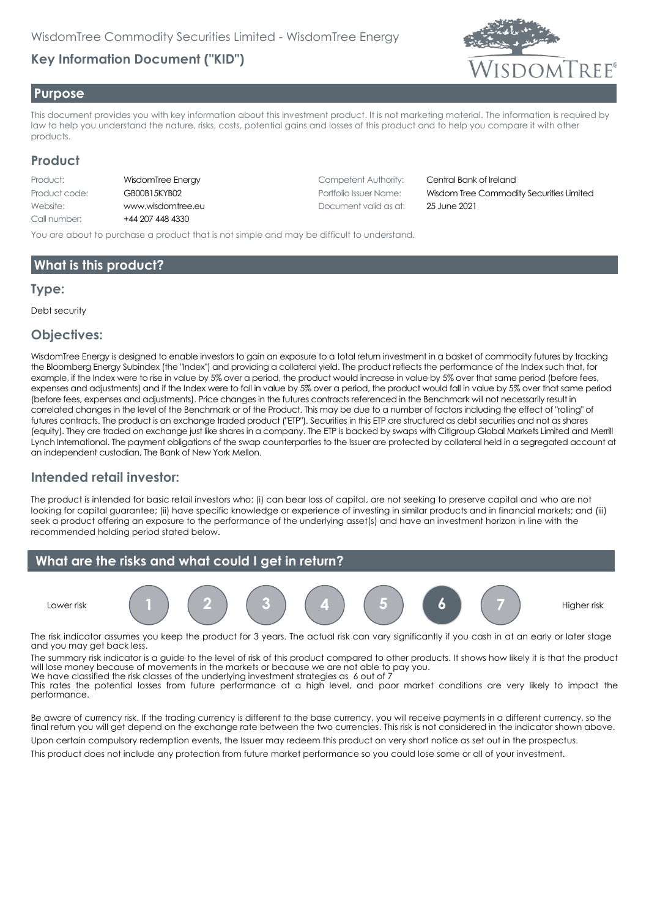# **Key Information Document ("KID")**



#### **Purpose**

This document provides you with key information about this investment product. It is not marketing material. The information is required by law to help you understand the nature, risks, costs, potential gains and losses of this product and to help you compare it with other products.

#### **Product**

| Product:      | Wi   |
|---------------|------|
| Product code: | GE   |
| Website:      | w    |
| Call number:  | $+4$ |

4 207 448 4330

**Products: Replace Energy Competent Authority: Central Bank of Ireland** Website: www.wisdomtree.eu Document valid as at: 25 June 2021

Product code: GB00B15KYB02 Portfolio Issuer Name: Wisdom Tree Commodity Securities Limited

You are about to purchase a product that is not simple and may be difficult to understand.

## **What is this product?**

#### **Type:**

Debt security

#### **Objectives:**

WisdomTree Energy is designed to enable investors to gain an exposure to a total return investment in a basket of commodity futures by tracking the Bloomberg Energy Subindex (the "Index") and providing a collateral yield. The product reflects the performance of the Index such that, for example, if the Index were to rise in value by 5% over a period, the product would increase in value by 5% over that same period (before fees, expenses and adjustments) and if the Index were to fall in value by 5% over a period, the product would fall in value by 5% over that same period (before fees, expenses and adjustments). Price changes in the futures contracts referenced in the Benchmark will not necessarily result in correlated changes in the level of the Benchmark or of the Product. This may be due to a number of factors including the effect of "rolling" of futures contracts. The product is an exchange traded product ("ETP"). Securities in this ETP are structured as debt securities and not as shares (equity). They are traded on exchange just like shares in a company. The ETP is backed by swaps with Citigroup Global Markets Limited and Merrill Lynch International. The payment obligations of the swap counterparties to the Issuer are protected by collateral held in a segregated account at an independent custodian, The Bank of New York Mellon.

## **Intended retail investor:**

The product is intended for basic retail investors who: (i) can bear loss of capital, are not seeking to preserve capital and who are not looking for capital guarantee; (ii) have specific knowledge or experience of investing in similar products and in financial markets; and (iii) seek a product offering an exposure to the performance of the underlying asset(s) and have an investment horizon in line with the recommended holding period stated below.



The risk indicator assumes you keep the product for 3 years. The actual risk can vary significantly if you cash in at an early or later stage and you may get back less.

The summary risk indicator is a guide to the level of risk of this product compared to other products. It shows how likely it is that the product will lose money because of movements in the markets or because we are not able to pay you. We have classified the risk classes of the underlying investment strategies as 6 out of 7

This rates the potential losses from future performance at a high level, and poor market conditions are very likely to impact the performance.

Be aware of currency risk. If the trading currency is different to the base currency, you will receive payments in a different currency, so the final return you will get depend on the exchange rate between the two currencies. This risk is not considered in the indicator shown above.

Upon certain compulsory redemption events, the Issuer may redeem this product on very short notice as set out in the prospectus. This product does not include any protection from future market performance so you could lose some or all of your investment.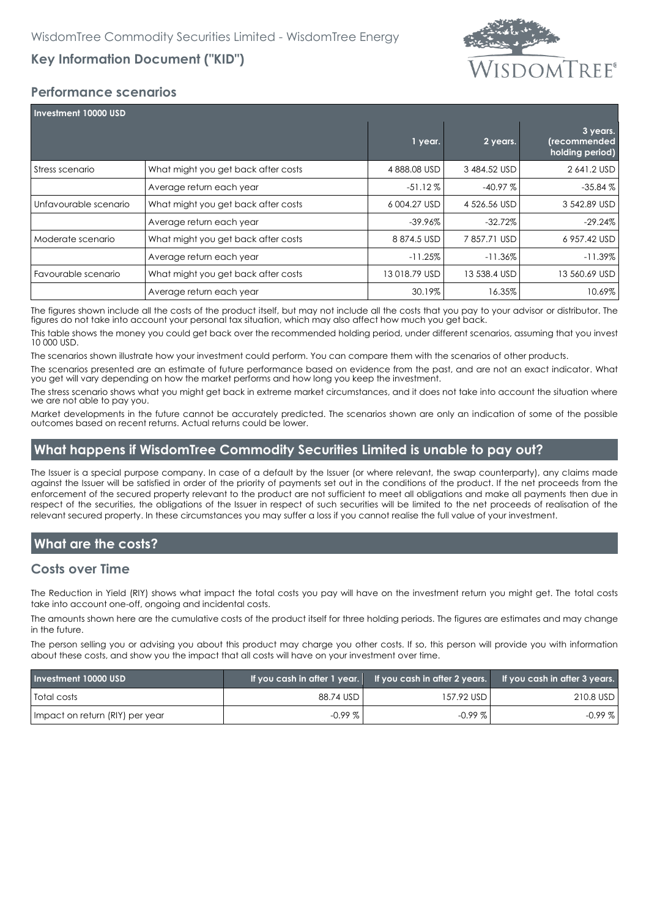# **Key Information Document ("KID")**



## **Performance scenarios**

| <b>Investment 10000 USD</b> |                                     |               |              |                                             |  |
|-----------------------------|-------------------------------------|---------------|--------------|---------------------------------------------|--|
|                             |                                     | 1 year.       | 2 years.     | 3 years.<br>(recommended<br>holding period) |  |
| Stress scenario             | What might you get back after costs | 4888.08 USD   | 3484.52 USD  | 2 641.2 USD                                 |  |
|                             | Average return each year            | $-51.12\%$    | $-40.97%$    | $-35.84%$                                   |  |
| Unfavourable scenario       | What might you get back after costs | 6004.27 USD   | 4 526.56 USD | 3 542.89 USD                                |  |
|                             | Average return each year            | -39.96%       | $-32.72\%$   | $-29.24\%$                                  |  |
| Moderate scenario           | What might you get back after costs | 8874.5 USD    | 7857.71 USD  | 6 957.42 USD                                |  |
|                             | Average return each year            | $-11.25%$     | $-11.36%$    | $-11.39\%$                                  |  |
| Favourable scenario         | What might you get back after costs | 13 018.79 USD | 13 538.4 USD | 13 560.69 USD                               |  |
|                             | Average return each year            | 30.19%        | 16.35%       | 10.69%                                      |  |

The figures shown include all the costs of the product itself, but may not include all the costs that you pay to your advisor or distributor. The figures do not take into account your personal tax situation, which may also affect how much you get back.

This table shows the money you could get back over the recommended holding period, under different scenarios, assuming that you invest 10 000 USD.

The scenarios shown illustrate how your investment could perform. You can compare them with the scenarios of other products.

The scenarios presented are an estimate of future performance based on evidence from the past, and are not an exact indicator. What you get will vary depending on how the market performs and how long you keep the investment.

The stress scenario shows what you might get back in extreme market circumstances, and it does not take into account the situation where we are not able to pay you.

Market developments in the future cannot be accurately predicted. The scenarios shown are only an indication of some of the possible outcomes based on recent returns. Actual returns could be lower.

#### **What happens if WisdomTree Commodity Securities Limited is unable to pay out?**

The Issuer is a special purpose company. In case of a default by the Issuer (or where relevant, the swap counterparty), any claims made against the Issuer will be satisfied in order of the priority of payments set out in the conditions of the product. If the net proceeds from the enforcement of the secured property relevant to the product are not sufficient to meet all obligations and make all payments then due in respect of the securities, the obligations of the Issuer in respect of such securities will be limited to the net proceeds of realisation of the relevant secured property. In these circumstances you may suffer a loss if you cannot realise the full value of your investment.

# **What are the costs?**

#### **Costs over Time**

The Reduction in Yield (RIY) shows what impact the total costs you pay will have on the investment return you might get. The total costs take into account one-off, ongoing and incidental costs.

The amounts shown here are the cumulative costs of the product itself for three holding periods. The figures are estimates and may change in the future.

The person selling you or advising you about this product may charge you other costs. If so, this person will provide you with information about these costs, and show you the impact that all costs will have on your investment over time.

| Investment 10000 USD            |           |              | If you cash in after 1 year. If you cash in after 2 years. If you cash in after 3 years. |
|---------------------------------|-----------|--------------|------------------------------------------------------------------------------------------|
| <b>Total costs</b>              | 88.74 USD | 157.92 USD L | 210.8 USD                                                                                |
| Impact on return (RIY) per year | $-0.99\%$ | $-0.99\%$    | $-0.99%$                                                                                 |